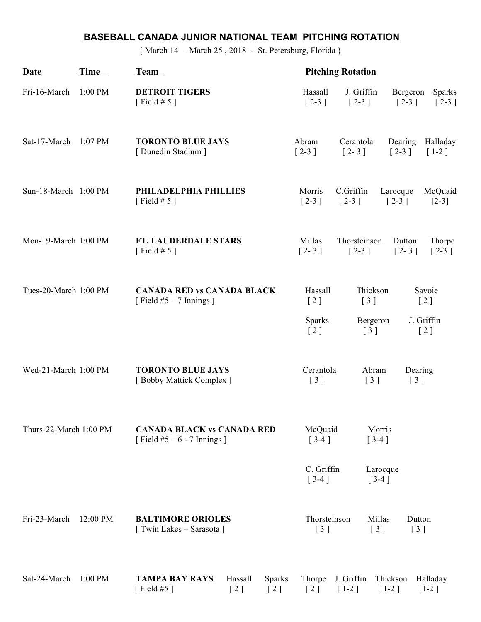## **BASEBALL CANADA JUNIOR NATIONAL TEAM PITCHING ROTATION**

{ March 14 – March 25 , 2018 - St. Petersburg, Florida }

| Date                   | Time     | Team                                                                                                                     | <b>Pitching Rotation</b>                                 |                                                         |                                                                         |
|------------------------|----------|--------------------------------------------------------------------------------------------------------------------------|----------------------------------------------------------|---------------------------------------------------------|-------------------------------------------------------------------------|
| Fri-16-March           | 1:00 PM  | <b>DETROIT TIGERS</b><br>[Field # $5$ ]                                                                                  | Hassall<br>$\lceil 2-3 \rceil$                           | J. Griffin<br>$\begin{bmatrix} 2-3 \end{bmatrix}$       | Bergeron<br><b>Sparks</b><br>$\lceil 2-3 \rceil$<br>$\lceil 2-3 \rceil$ |
| Sat-17-March 1:07 PM   |          | <b>TORONTO BLUE JAYS</b><br>[Dunedin Stadium]                                                                            | Abram<br>$\left[2-3\right]$                              | Cerantola<br>$[2 - 3]$                                  | Dearing<br>Halladay<br>$\lceil 2-3 \rceil$<br>$[1-2]$                   |
| Sun-18-March 1:00 PM   |          | PHILADELPHIA PHILLIES<br>[Field # 5 ]                                                                                    | Morris<br>$\lceil 2-3 \rceil$                            | C.Griffin<br>$\lceil 2-3 \rceil$                        | McQuaid<br>Larocque<br>$\lceil 2-3 \rceil$<br>$[2-3]$                   |
| Mon-19-March 1:00 PM   |          | FT. LAUDERDALE STARS<br>[Field # $5$ ]                                                                                   | Millas<br>$[2 - 3]$                                      | Thorsteinson<br>$[2-3]$                                 | Dutton<br>Thorpe<br>$[2 - 3]$<br>$[2-3]$                                |
| Tues-20-March 1:00 PM  |          | <b>CANADA RED vs CANADA BLACK</b><br>[Field $#5 - 7$ Innings ]                                                           | Hassall<br>[2]                                           | Thickson<br>$\begin{bmatrix} 3 \end{bmatrix}$           | Savoie<br>$\left[2\right]$                                              |
|                        |          |                                                                                                                          | <b>Sparks</b><br>$\left[2\right]$                        | Bergeron<br>$\left[\begin{array}{c}3\end{array}\right]$ | J. Griffin<br>[2]                                                       |
| Wed-21-March 1:00 PM   |          | <b>TORONTO BLUE JAYS</b><br>[Bobby Mattick Complex]                                                                      | Cerantola<br>$\left[\begin{array}{c}3\end{array}\right]$ | Abram<br>$\lceil 3 \rceil$                              | Dearing<br>$\begin{bmatrix} 3 \end{bmatrix}$                            |
| Thurs-22-March 1:00 PM |          | <b>CANADA BLACK vs CANADA RED</b><br>[Field $#5 - 6 - 7$ Innings]                                                        | McQuaid<br>$[3-4]$                                       | Morris<br>$[3-4]$                                       |                                                                         |
|                        |          |                                                                                                                          | C. Griffin<br>$[3-4]$                                    | Larocque<br>$[3-4]$                                     |                                                                         |
| Fri-23-March           | 12:00 PM | <b>BALTIMORE ORIOLES</b><br>[ Twin Lakes – Sarasota ]                                                                    | Thorsteinson<br>$\begin{bmatrix} 3 \end{bmatrix}$        | Millas<br>$\begin{bmatrix} 3 \end{bmatrix}$             | Dutton<br>[3]                                                           |
| Sat-24-March 1:00 PM   |          | Hassall<br><b>Sparks</b><br><b>TAMPA BAY RAYS</b><br>[Field $#5$ ]<br>[2]<br>$\left[\begin{array}{c}2\end{array}\right]$ | Thorpe<br>[2]                                            | J. Griffin<br>$[1-2]$                                   | Thickson<br>Halladay<br>$[1-2]$<br>$[1-2]$                              |